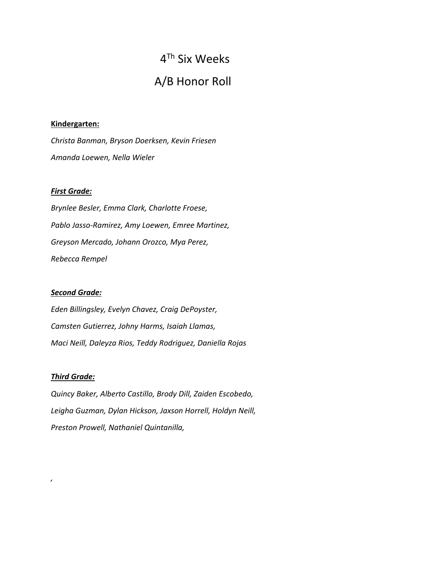# 4Th Six Weeks A/B Honor Roll

## **Kindergarten:**

*Christa Banman, Bryson Doerksen, Kevin Friesen Amanda Loewen, Nella Wieler*

## *First Grade:*

*Brynlee Besler, Emma Clark, Charlotte Froese, Pablo Jasso-Ramirez, Amy Loewen, Emree Martinez, Greyson Mercado, Johann Orozco, Mya Perez, Rebecca Rempel*

## *Second Grade:*

*Eden Billingsley, Evelyn Chavez, Craig DePoyster, Camsten Gutierrez, Johny Harms, Isaiah Llamas, Maci Neill, Daleyza Rios, Teddy Rodriguez, Daniella Rojas*

## *Third Grade:*

*,*

*Quincy Baker, Alberto Castillo, Brody Dill, Zaiden Escobedo, Leigha Guzman, Dylan Hickson, Jaxson Horrell, Holdyn Neill, Preston Prowell, Nathaniel Quintanilla,*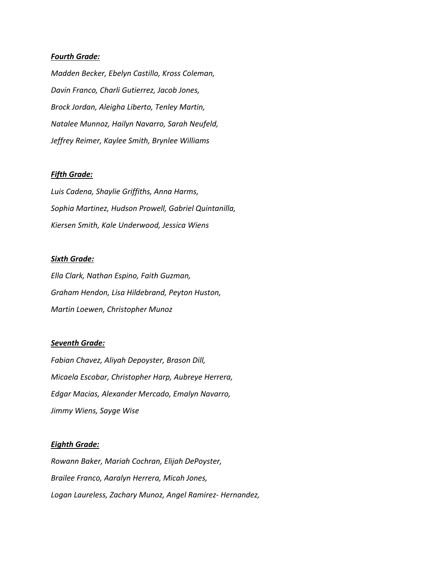### *Fourth Grade:*

*Madden Becker, Ebelyn Castillo, Kross Coleman, Davin Franco, Charli Gutierrez, Jacob Jones, Brock Jordan, Aleigha Liberto, Tenley Martin, Natalee Munnoz, Hailyn Navarro, Sarah Neufeld, Jeffrey Reimer, Kaylee Smith, Brynlee Williams*

#### *Fifth Grade:*

*Luis Cadena, Shaylie Griffiths, Anna Harms, Sophia Martinez, Hudson Prowell, Gabriel Quintanilla, Kiersen Smith, Kale Underwood, Jessica Wiens*

#### *Sixth Grade:*

*Ella Clark, Nathan Espino, Faith Guzman, Graham Hendon, Lisa Hildebrand, Peyton Huston, Martin Loewen, Christopher Munoz*

## *Seventh Grade:*

*Fabian Chavez, Aliyah Depoyster, Brason Dill, Micaela Escobar, Christopher Harp, Aubreye Herrera, Edgar Macias, Alexander Mercado, Emalyn Navarro, Jimmy Wiens, Sayge Wise*

#### *Eighth Grade:*

*Rowann Baker, Mariah Cochran, Elijah DePoyster, Brailee Franco, Aaralyn Herrera, Micah Jones, Logan Laureless, Zachary Munoz, Angel Ramirez- Hernandez,*